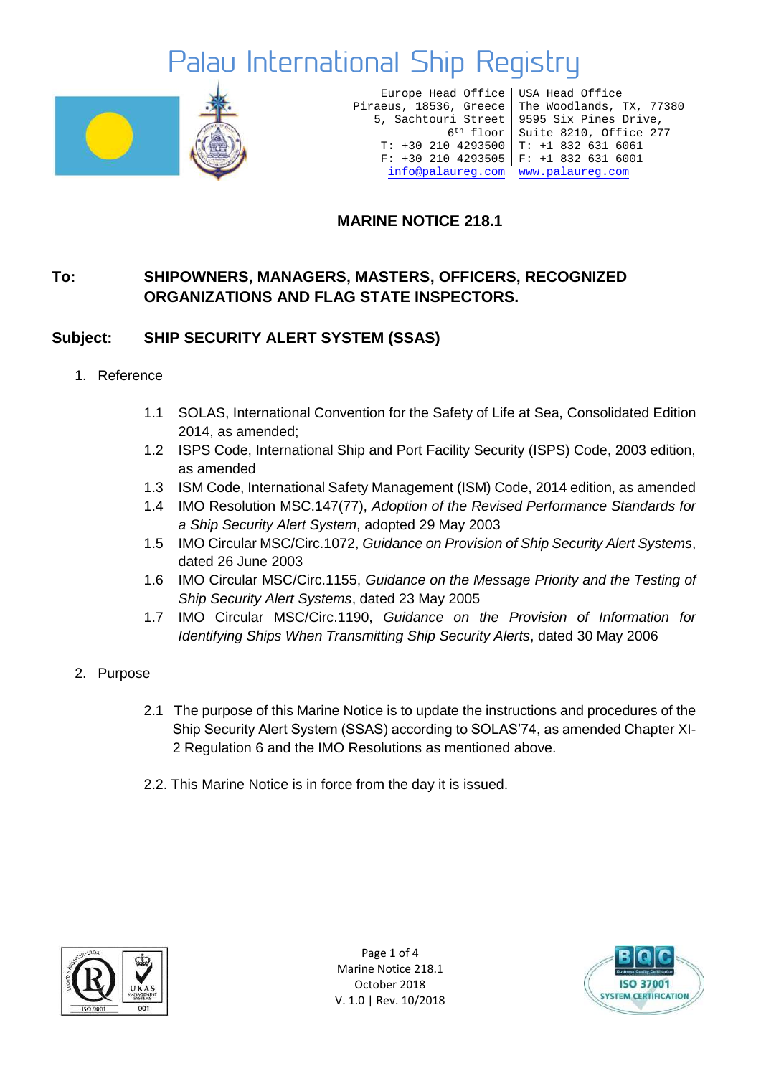

Europe Head Office Piraeus, 18536, Greece T: +30 210 4293500 T: +1 832 631 6061 F: +30 210 4293505 F: +1 832 631 6001 [info@palaureg.com](mailto:info@palaureg.com) [www.palaureg.com](http://www.palaureg.com/)

5, Sachtouri Street 9595 Six Pines Drive, 6th floor Suite 8210, Office 277 USA Head Office The Woodlands, TX, 77380

#### **MARINE NOTICE 218.1**

#### **To: SHIPOWNERS, MANAGERS, MASTERS, OFFICERS, RECOGNIZED ORGANIZATIONS AND FLAG STATE INSPECTORS.**

#### **Subject: SHIP SECURITY ALERT SYSTEM (SSAS)**

- 1. Reference
	- 1.1 SOLAS, International Convention for the Safety of Life at Sea, Consolidated Edition 2014, as amended;
	- 1.2 ISPS Code, International Ship and Port Facility Security (ISPS) Code, 2003 edition, as amended
	- 1.3 ISM Code, International Safety Management (ISM) Code, 2014 edition, as amended
	- 1.4 IMO Resolution MSC.147(77), *Adoption of the Revised Performance Standards for a Ship Security Alert System*, adopted 29 May 2003
	- 1.5 IMO Circular MSC/Circ.1072, *Guidance on Provision of Ship Security Alert Systems*, dated 26 June 2003
	- 1.6 IMO Circular MSC/Circ.1155, *Guidance on the Message Priority and the Testing of Ship Security Alert Systems*, dated 23 May 2005
	- 1.7 IMO Circular MSC/Circ.1190, *Guidance on the Provision of Information for Identifying Ships When Transmitting Ship Security Alerts*, dated 30 May 2006
- 2. Purpose
	- 2.1 The purpose of this Marine Notice is to update the instructions and procedures of the Ship Security Alert System (SSAS) according to SOLAS'74, as amended Chapter XI-2 Regulation 6 and the IMO Resolutions as mentioned above.
	- 2.2. This Marine Notice is in force from the day it is issued.



Page 1 of 4 Marine Notice 218.1 October 2018 V. 1.0 | Rev. 10/2018

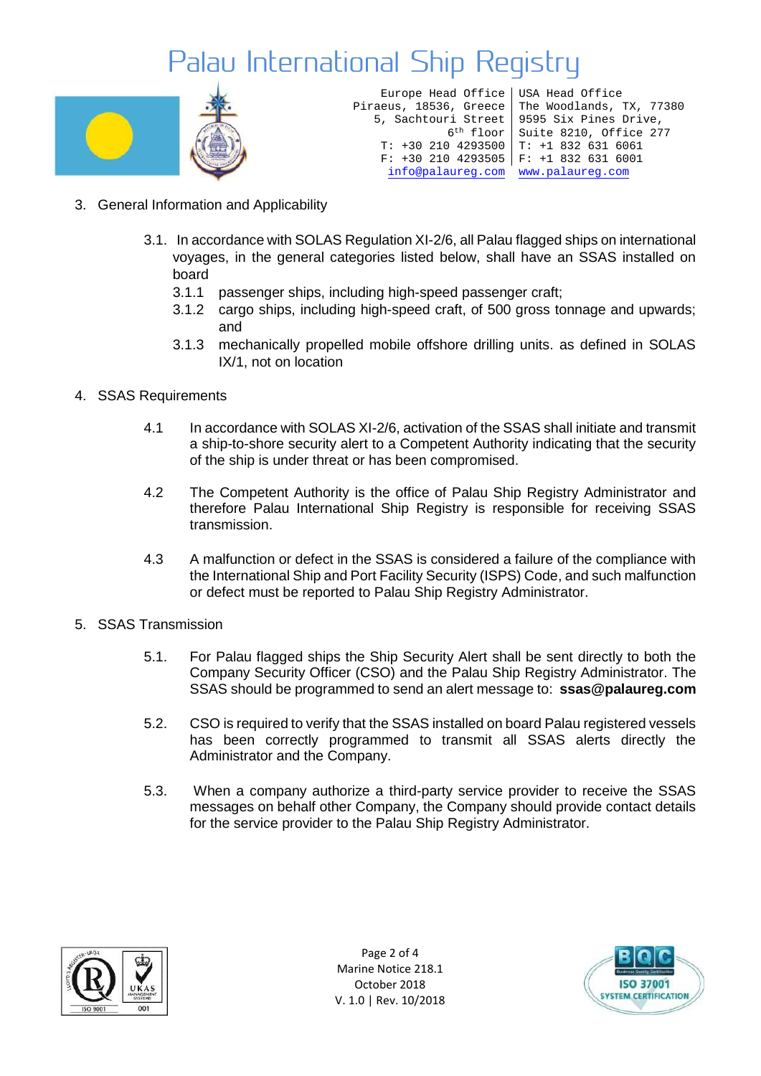

| Europe Head Office   USA Head Office |                                                 |
|--------------------------------------|-------------------------------------------------|
|                                      | Piraeus, 18536, Greece The Woodlands, TX, 77380 |
|                                      | 5, Sachtouri Street   9595 Six Pines Drive,     |
|                                      | 6 <sup>th</sup> floor Suite 8210, Office 277    |
| $T: +302104293500$ $T: +18326316061$ |                                                 |
| $F: +302104293505$ $F: +18326316001$ |                                                 |
| info@palaureq.com www.palaureq.com   |                                                 |

- 3. General Information and Applicability
	- 3.1. In accordance with SOLAS Regulation XI-2/6, all Palau flagged ships on international voyages, in the general categories listed below, shall have an SSAS installed on board
		- 3.1.1 passenger ships, including high-speed passenger craft;
		- 3.1.2 cargo ships, including high-speed craft, of 500 gross tonnage and upwards; and
		- 3.1.3 mechanically propelled mobile offshore drilling units. as defined in SOLAS IX/1, not on location
- 4. SSAS Requirements
	- 4.1 In accordance with SOLAS XI-2/6, activation of the SSAS shall initiate and transmit a ship-to-shore security alert to a Competent Authority indicating that the security of the ship is under threat or has been compromised.
	- 4.2 The Competent Authority is the office of Palau Ship Registry Administrator and therefore Palau International Ship Registry is responsible for receiving SSAS transmission.
	- 4.3 A malfunction or defect in the SSAS is considered a failure of the compliance with the International Ship and Port Facility Security (ISPS) Code, and such malfunction or defect must be reported to Palau Ship Registry Administrator.
- 5. SSAS Transmission
	- 5.1. For Palau flagged ships the Ship Security Alert shall be sent directly to both the Company Security Officer (CSO) and the Palau Ship Registry Administrator. The SSAS should be programmed to send an alert message to: **[ssas@palaureg.com](mailto:ssas@palaureg.com)**
	- 5.2. CSO is required to verify that the SSAS installed on board Palau registered vessels has been correctly programmed to transmit all SSAS alerts directly the Administrator and the Company.
	- 5.3. When a company authorize a third-party service provider to receive the SSAS messages on behalf other Company, the Company should provide contact details for the service provider to the Palau Ship Registry Administrator.



Page 2 of 4 Marine Notice 218.1 October 2018 V. 1.0 | Rev. 10/2018

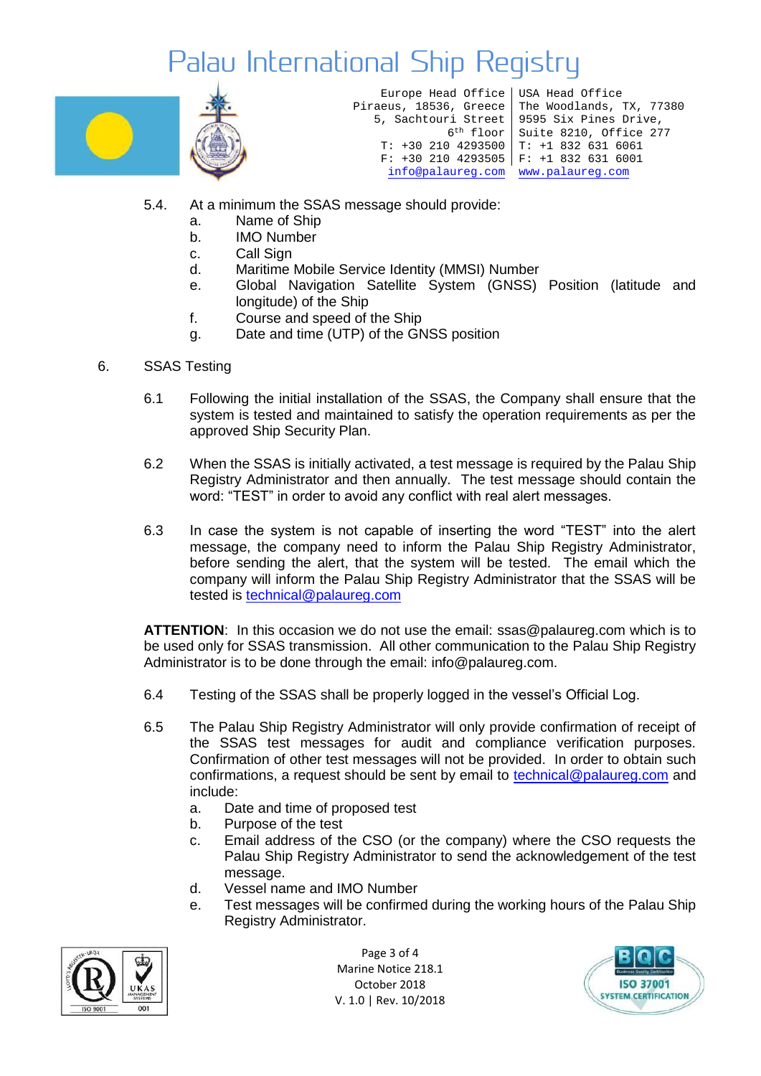

Europe Head Office USA Head Office Piraeus, 18536, Greece 5, Sachtouri Street T: +30 210 4293500 T: +1 832 631 6061 F: +30 210 4293505 F: +1 832 631 6001 [info@palaureg.com](mailto:info@palaureg.com) [www.palaureg.com](http://www.palaureg.com/)

6th floor Suite 8210, Office 277 The Woodlands, TX, 77380 9595 Six Pines Drive,

- 5.4. At a minimum the SSAS message should provide:
	- a. Name of Ship
	- b. IMO Number
	- c. Call Sign
	- d. Maritime Mobile Service Identity (MMSI) Number
	- e. Global Navigation Satellite System (GNSS) Position (latitude and longitude) of the Ship
	- f. Course and speed of the Ship
	- g. Date and time (UTP) of the GNSS position
- 6. SSAS Testing
	- 6.1 Following the initial installation of the SSAS, the Company shall ensure that the system is tested and maintained to satisfy the operation requirements as per the approved Ship Security Plan.
	- 6.2 When the SSAS is initially activated, a test message is required by the Palau Ship Registry Administrator and then annually. The test message should contain the word: "TEST" in order to avoid any conflict with real alert messages.
	- 6.3 In case the system is not capable of inserting the word "TEST" into the alert message, the company need to inform the Palau Ship Registry Administrator, before sending the alert, that the system will be tested. The email which the company will inform the Palau Ship Registry Administrator that the SSAS will be tested is [technical@palaureg.com](mailto:technical@palaureg.com)

**ATTENTION**: In this occasion we do not use the email: [ssas@palaureg.com](mailto:ssas@palaureg.com) which is to be used only for SSAS transmission. All other communication to the Palau Ship Registry Administrator is to be done through the email: [info@palaureg.com.](mailto:info@palaureg.com)

- 6.4 Testing of the SSAS shall be properly logged in the vessel's Official Log.
- 6.5 The Palau Ship Registry Administrator will only provide confirmation of receipt of the SSAS test messages for audit and compliance verification purposes. Confirmation of other test messages will not be provided. In order to obtain such confirmations, a request should be sent by email to [technical@palaureg.com](mailto:technical@palaureg.com) and include:
	- a. Date and time of proposed test
	- b. Purpose of the test
	- c. Email address of the CSO (or the company) where the CSO requests the Palau Ship Registry Administrator to send the acknowledgement of the test message.
	- d. Vessel name and IMO Number
	- e. Test messages will be confirmed during the working hours of the Palau Ship Registry Administrator.



Page 3 of 4 Marine Notice 218.1 October 2018 V. 1.0 | Rev. 10/2018